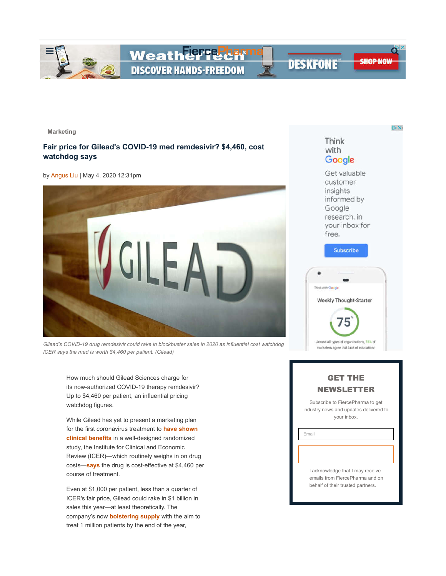

DX:

**Marketing**

# **Fair price for Gilead's COVID-19 med remdesivir? \$4,460, cost watchdog says**

by Angus Liu | May 4, 2020 12:31pm



*Gilead's COVID-19 drug remdesivir could rake in blockbuster sales in 2020 as influential cost watchdog ICER says the med is worth \$4,460 per patient. (Gilead)*

How much should Gilead Sciences charge for its now-authorized COVID-19 therapy remdesivir? Up to \$4,460 per patient, an influential pricing watchdog figures.

While Gilead has yet to present a marketing plan for the first coronavirus treatment to **have shown clinical benefits** in a well-designed randomized study, the Institute for Clinical and Economic Review (ICER)—which routinely weighs in on drug costs—**says** the drug is cost-effective at \$4,460 per course of treatment.

Even at \$1,000 per patient, less than a quarter of ICER's fair price, Gilead could rake in \$1 billion in sales this year—at least theoretically. The company's now **bolstering supply** with the aim to treat 1 million patients by the end of the year,

# Think with Google

Get valuable customer insights informed by Google research, in your inbox for free.



# GET THE NEWSLETTER

Subscribe to FiercePharma to get industry news and updates delivered to your inbox.

Email

I acknowledge that I may receive emails from FiercePharma and on behalf of their trusted partners.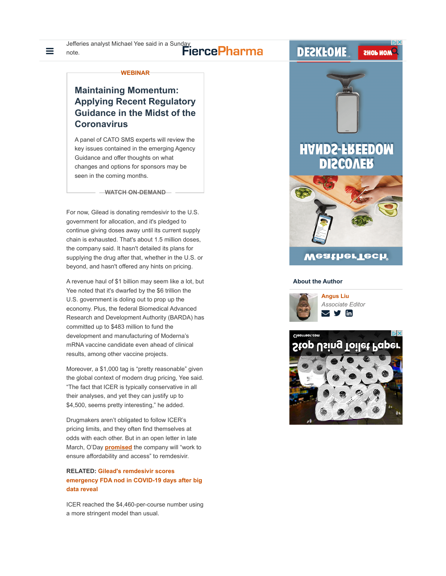# $\equiv$   $_{\text{note.}}$   $\equiv$   $_{\text{note.}}$   $\equiv$   $_{\text{note.}}$

### **WEBINAR**

# **Maintaining Momentum: Applying Recent Regulatory Guidance in the Midst of the Coronavirus**

A panel of CATO SMS experts will review the key issues contained in the emerging Agency Guidance and offer thoughts on what changes and options for sponsors may be seen in the coming months.

**WATCH ON-DEMAND**

For now, Gilead is donating remdesivir to the U.S. government for allocation, and it's pledged to continue giving doses away until its current supply chain is exhausted. That's about 1.5 million doses, the company said. It hasn't detailed its plans for supplying the drug after that, whether in the U.S. or beyond, and hasn't offered any hints on pricing.

A revenue haul of \$1 billion may seem like a lot, but Yee noted that it's dwarfed by the \$6 trillion the U.S. government is doling out to prop up the economy. Plus, the federal Biomedical Advanced Research and Development Authority (BARDA) has committed up to \$483 million to fund the development and manufacturing of Moderna's mRNA vaccine candidate even ahead of clinical results, among other vaccine projects.

Moreover, a \$1,000 tag is "pretty reasonable" given the global context of modern drug pricing, Yee said. "The fact that ICER is typically conservative in all their analyses, and yet they can justify up to \$4,500, seems pretty interesting," he added.

Drugmakers aren't obligated to follow ICER's pricing limits, and they often find themselves at odds with each other. But in an open letter in late March, O'Day **promised** the company will "work to ensure affordability and access" to remdesivir.

## **RELATED: Gilead's remdesivir scores emergency FDA nod in COVID-19 days after big data reveal**

ICER reached the \$4,460-per-course number using a more stringent model than usual.



### **About the Author**



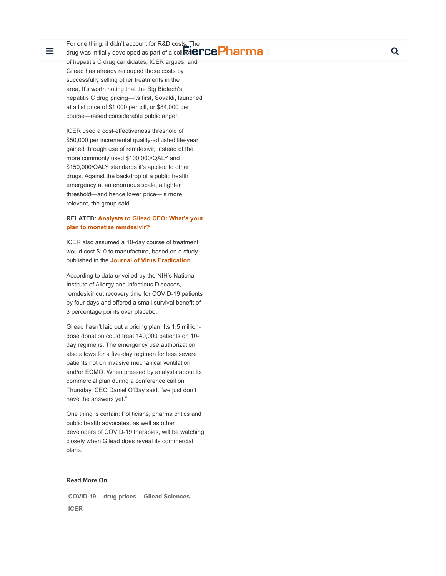For one thing, it didn't account for R&D costs. The

≡

drug was initially developed as part of a collection CCPharma of hepatitis C drug candidates, ICER argues, and Gilead has already recouped those costs by successfully selling other treatments in the area. It's worth noting that the Big Biotech's hepatitis C drug pricing—its first, Sovaldi, launched at a list price of \$1,000 per pill, or \$84,000 per course—raised considerable public anger.

ICER used a cost-effectiveness threshold of \$50,000 per incremental quality-adjusted life-year gained through use of remdesivir, instead of the more commonly used \$100,000/QALY and \$150,000/QALY standards it's applied to other drugs. Against the backdrop of a public health emergency at an enormous scale, a tighter threshold—and hence lower price—is more relevant, the group said.

## **RELATED: Analysts to Gilead CEO: What's your plan to monetize remdesivir?**

ICER also assumed a 10-day course of treatment would cost \$10 to manufacture, based on a study published in the **Journal of Virus Eradication** .

According to data unveiled by the NIH's National Institute of Allergy and Infectious Diseases, remdesivir cut recovery time for COVID-19 patients by four days and offered a small survival benefit of 3 percentage points over placebo.

Gilead hasn't laid out a pricing plan. Its 1.5 milliondose donation could treat 140,000 patients on 10 day regimens. The emergency use authorization also allows for a five-day regimen for less severe patients not on invasive mechanical ventilation and/or ECMO. When pressed by analysts about its commercial plan during a conference call on Thursday, CEO Daniel O'Day said, "we just don't have the answers yet."

One thing is certain: Politicians, pharma critics and public health advocates, as well as other developers of COVID-19 therapies, will be watching closely when Gilead does reveal its commercial plans.

### **Read More On**

**COVID-19 drug prices Gilead Sciences ICER**

Q